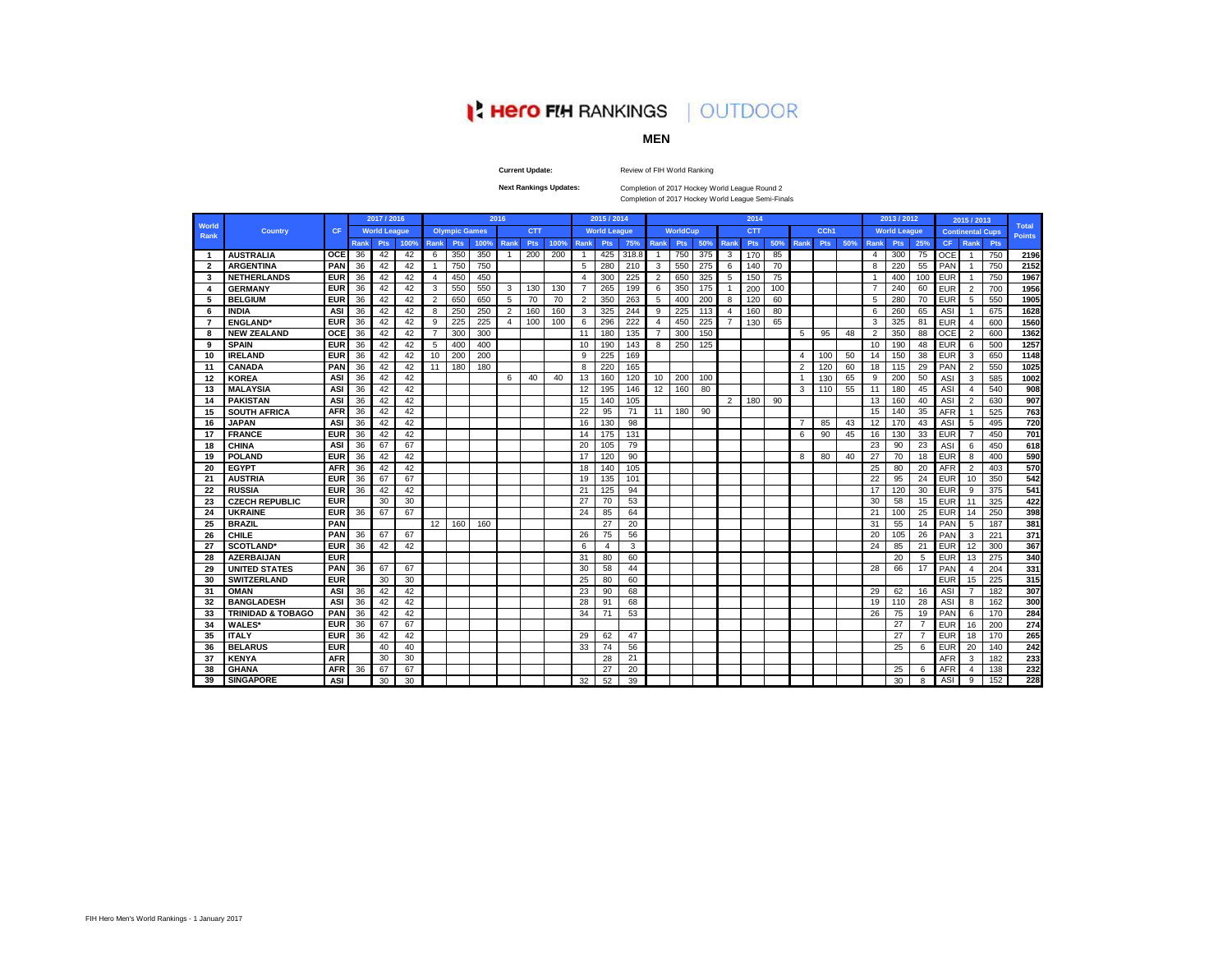# **A Hero FIH RANKINGS | OUTDOOR**

# **MEN**

**Current Update:**

Review of FIH World Ranking

**Next Rankings Updates:** 

Completion of 2017 Hockey World League Round 2 Completion of 2017 Hockey World League Semi-Finals

|                         |                              |            |      | 2017 / 2016         |      |                |                      |      | 2016           |            |      |                       | 2015 / 2014         |       |                |                 |     |                | 2014       |     |                |      |     |                | 2013 / 2012         |                |            | 2015 / 2013             |     |                               |
|-------------------------|------------------------------|------------|------|---------------------|------|----------------|----------------------|------|----------------|------------|------|-----------------------|---------------------|-------|----------------|-----------------|-----|----------------|------------|-----|----------------|------|-----|----------------|---------------------|----------------|------------|-------------------------|-----|-------------------------------|
| World<br>Rank           | <b>Country</b>               | <b>CF</b>  |      | <b>World League</b> |      |                | <b>Olympic Games</b> |      |                | <b>CTT</b> |      |                       | <b>World League</b> |       |                | <b>WorldCup</b> |     |                | <b>CTT</b> |     |                | CCh1 |     |                | <b>World League</b> |                |            | <b>Continental Cups</b> |     | <b>Total</b><br><b>Points</b> |
|                         |                              |            | Rank | Pts                 | 100% | Rank           | Pts                  | 100% | <b>Rank</b>    | Pts        | 100% | Rank                  | Pts                 | 75%   | Rank           | <b>Pts</b>      | 50% | Rank           | Pts        | 50% | Rank           | Pts  | 50% | Rank           | <b>Pts</b>          | 25%            | <b>CF</b>  | Rank                    | Pts |                               |
| -1                      | <b>AUSTRALIA</b>             | <b>OCE</b> | 36   | 42                  | 42   | 6              | 350                  | 350  | -1             | 200        | 200  |                       | 425                 | 318.8 | $\mathbf{1}$   | 750             | 375 | 3              | 170        | 85  |                |      |     | $\overline{4}$ | 300                 | 75             | <b>OCE</b> | -1                      | 750 | 2196                          |
| $\overline{\mathbf{2}}$ | <b>ARGENTINA</b>             | PAN        | 36   | 42                  | 42   | -1             | 750                  | 750  |                |            |      | 5                     | 280                 | 210   | 3              | 550             | 275 | 6              | 140        | 70  |                |      |     | 8              | 220                 | 55             | PAN        |                         | 750 | 2152                          |
| 3                       | <b>NETHERLANDS</b>           | <b>EUR</b> | 36   | 42                  | 42   | $\overline{4}$ | 450                  | 450  |                |            |      | $\boldsymbol{\Delta}$ | 300                 | 225   | $\overline{2}$ | 650             | 325 | 5              | 150        | 75  |                |      |     | $\overline{1}$ | 400                 | 100            | <b>EUR</b> |                         | 750 | 1967                          |
| 4                       | <b>GERMANY</b>               | <b>EUR</b> | 36   | 42                  | 42   | 3              | 550                  | 550  | 3              | 130        | 130  | $\overline{7}$        | 265                 | 199   | 6              | 350             | 175 |                | 200        | 100 |                |      |     | $\overline{7}$ | 240                 | 60             | <b>EUR</b> | $\overline{2}$          | 700 | 1956                          |
| 5                       | <b>BELGIUM</b>               | <b>EUR</b> | 36   | 42                  | 42   | $\overline{2}$ | 650                  | 650  | 5              | 70         | 70   | $\overline{2}$        | 350                 | 263   | 5              | 400             | 200 | 8              | 120        | 60  |                |      |     | 5              | 280                 | 70             | EUR        | 5                       | 550 | 1905                          |
| 6                       | <b>INDIA</b>                 | ASI        | 36   | 42                  | 42   | 8              | 250                  | 250  | $\overline{2}$ | 160        | 160  | 3                     | 325                 | 244   | 9              | 225             | 113 | $\overline{4}$ | 160        | 80  |                |      |     | 6              | 260                 | 65             | <b>ASI</b> |                         | 675 | 1628                          |
| -7                      | <b>ENGLAND</b>               | <b>EUR</b> | 36   | 42                  | 42   | 9              | 225                  | 225  | 4              | 100        | 100  | 6                     | 296                 | 222   | $\overline{4}$ | 450             | 225 | 7              | 130        | 65  |                |      |     | 3              | 325                 | 81             | <b>EUR</b> | 4                       | 600 | 1560                          |
| 8                       | <b>NEW ZEALAND</b>           | OCE        | 36   | 42                  | 42   | $\overline{7}$ | 300                  | 300  |                |            |      | 11                    | 180                 | 135   | $\overline{7}$ | 300             | 150 |                |            |     | 5              | 95   | 48  | 2              | 350                 | 88             | OCE        | $\overline{2}$          | 600 | 1362                          |
| 9                       | <b>SPAIN</b>                 | <b>EUR</b> | 36   | 42                  | 42   | 5              | 400                  | 400  |                |            |      | 10                    | 190                 | 143   | 8              | 250             | 125 |                |            |     |                |      |     | 10             | 190                 | 48             | <b>EUR</b> | 6                       | 500 | 1257                          |
| 10                      | <b>IRELAND</b>               | <b>EUR</b> | 36   | 42                  | 42   | 10             | 200                  | 200  |                |            |      | 9                     | 225                 | 169   |                |                 |     |                |            |     | 4              | 100  | 50  | 14             | 150                 | 38             | <b>EUR</b> | 3                       | 650 | 1148                          |
| 11                      | <b>CANADA</b>                | PAN        | 36   | 42                  | 42   | 11             | 180                  | 180  |                |            |      | 8                     | 220                 | 165   |                |                 |     |                |            |     | $\overline{2}$ | 120  | 60  | 18             | 115                 | 29             | PAN        | $\overline{2}$          | 550 | 1025                          |
| 12                      | <b>KOREA</b>                 | ASI        | 36   | 42                  | 42   |                |                      |      | 6              | 40         | 40   | 13                    | 160                 | 120   | 10             | 200             | 100 |                |            |     |                | 130  | 65  | 9              | 200                 | 50             | ASI        | 3                       | 585 | 1002                          |
| 13                      | <b>MALAYSIA</b>              | <b>ASI</b> | 36   | 42                  | 42   |                |                      |      |                |            |      | 12                    | 195                 | 146   | 12             | 160             | 80  |                |            |     | 3              | 110  | 55  | 11             | 180                 | 45             | ASI        | 4                       | 540 | 908                           |
| 14                      | <b>PAKISTAN</b>              | <b>ASI</b> | 36   | 42                  | 42   |                |                      |      |                |            |      | 15                    | 140                 | 105   |                |                 |     | $\overline{2}$ | 180        | 90  |                |      |     | 13             | 160                 | 40             | <b>ASI</b> | $\overline{2}$          | 630 | 907                           |
| 15                      | <b>SOUTH AFRICA</b>          | <b>AFR</b> | 36   | 42                  | 42   |                |                      |      |                |            |      | 22                    | 95                  | 71    | 11             | 180             | 90  |                |            |     |                |      |     | 15             | 140                 | 35             | <b>AFR</b> | $\overline{1}$          | 525 | 763                           |
| 16                      | <b>JAPAN</b>                 | ASI        | 36   | 42                  | 42   |                |                      |      |                |            |      | 16                    | 130                 | 98    |                |                 |     |                |            |     |                | 85   | 43  | 12             | 170                 | 43             | <b>ASI</b> | 5                       | 495 | 720                           |
| 17                      | <b>FRANCE</b>                | <b>EUR</b> | 36   | 42                  | 42   |                |                      |      |                |            |      | 14                    | 175                 | 131   |                |                 |     |                |            |     | 6              | 90   | 45  | 16             | 130                 | 33             | <b>EUR</b> | $\overline{7}$          | 450 | 701                           |
| 18                      | <b>CHINA</b>                 | ASI        | 36   | 67                  | 67   |                |                      |      |                |            |      | 20                    | 105                 | 79    |                |                 |     |                |            |     |                |      |     | 23             | 90                  | 23             | <b>ASI</b> | 6                       | 450 | 618                           |
| 19                      | <b>POLAND</b>                | <b>EUR</b> | 36   | 42                  | 42   |                |                      |      |                |            |      | 17                    | 120                 | 90    |                |                 |     |                |            |     | 8              | 80   | 40  | 27             | 70                  | 18             | <b>EUR</b> | 8                       | 400 | 590                           |
| 20                      | <b>EGYPT</b>                 | <b>AFR</b> | 36   | 42                  | 42   |                |                      |      |                |            |      | 18                    | 140                 | 105   |                |                 |     |                |            |     |                |      |     | 25             | 80                  | 20             | <b>AFR</b> | $\overline{2}$          | 403 | 570                           |
| 21                      | <b>AUSTRIA</b>               | <b>EUR</b> | 36   | 67                  | 67   |                |                      |      |                |            |      | 19                    | 135                 | 101   |                |                 |     |                |            |     |                |      |     | 22             | 95                  | 24             | <b>EUR</b> | 10                      | 350 | 542                           |
| 22                      | <b>RUSSIA</b>                | <b>EUR</b> | 36   | 42                  | 42   |                |                      |      |                |            |      | 21                    | 125                 | 94    |                |                 |     |                |            |     |                |      |     | 17             | 120                 | 30             | <b>EUR</b> | 9                       | 375 | 541                           |
| 23                      | <b>CZECH REPUBLIC</b>        | <b>EUR</b> |      | 30                  | 30   |                |                      |      |                |            |      | 27                    | 70                  | 53    |                |                 |     |                |            |     |                |      |     | 30             | 58                  | 15             | EUR        | 11                      | 325 | 422                           |
| 24                      | <b>UKRAINE</b>               | <b>EUR</b> | 36   | 67                  | 67   |                |                      |      |                |            |      | 24                    | 85                  | 64    |                |                 |     |                |            |     |                |      |     | 21             | 100                 | 25             | <b>EUR</b> | 14                      | 250 | 398                           |
| 25                      | <b>BRAZIL</b>                | PAN        |      |                     |      | 12             | 160                  | 160  |                |            |      |                       | 27                  | 20    |                |                 |     |                |            |     |                |      |     | 31             | 55                  | 14             | PAN        | 5                       | 187 | 381                           |
| 26                      | <b>CHILE</b>                 | PAN        | 36   | 67                  | 67   |                |                      |      |                |            |      | 26                    | 75                  | 56    |                |                 |     |                |            |     |                |      |     | 20             | 105                 | 26             | PAN        | 3                       | 221 | 371                           |
| 27                      | <b>SCOTLAND*</b>             | <b>EUR</b> | 36   | 42                  | 42   |                |                      |      |                |            |      | 6                     | 4                   | 3     |                |                 |     |                |            |     |                |      |     | 24             | 85                  | 21             | EUR        | 12                      | 300 | 367                           |
| 28                      | <b>AZERBAIJAN</b>            | <b>EUR</b> |      |                     |      |                |                      |      |                |            |      | 31                    | 80                  | 60    |                |                 |     |                |            |     |                |      |     |                | 20                  | 5              | <b>EUR</b> | 13                      | 275 | 340                           |
| 29                      | <b>UNITED STATES</b>         | PAN        | 36   | 67                  | 67   |                |                      |      |                |            |      | 30                    | 58                  | 44    |                |                 |     |                |            |     |                |      |     | 28             | 66                  | 17             | PAN        | 4                       | 204 | 331                           |
| 30                      | <b>SWITZERLAND</b>           | <b>EUR</b> |      | 30                  | 30   |                |                      |      |                |            |      | 25                    | 80                  | 60    |                |                 |     |                |            |     |                |      |     |                |                     |                | <b>EUR</b> | 15                      | 225 | 315                           |
| -31                     | <b>OMAN</b>                  | ASI        | 36   | 42                  | 42   |                |                      |      |                |            |      | 23                    | 90                  | 68    |                |                 |     |                |            |     |                |      |     | 29             | 62                  | 16             | ASI        | $\overline{7}$          | 182 | 307                           |
| 32                      | <b>BANGLADESH</b>            | ASI        | 36   | 42                  | 42   |                |                      |      |                |            |      | 28                    | 91                  | 68    |                |                 |     |                |            |     |                |      |     | 19             | 110                 | 28             | ASI        | 8                       | 162 | 300                           |
| 33                      | <b>TRINIDAD &amp; TOBAGO</b> | PAN        | 36   | 42                  | 42   |                |                      |      |                |            |      | 34                    | 71                  | 53    |                |                 |     |                |            |     |                |      |     | 26             | 75                  | 19             | PAN        | 6                       | 170 | 284                           |
| 34                      | <b>WALES</b>                 | <b>EUR</b> | 36   | 67                  | 67   |                |                      |      |                |            |      |                       |                     |       |                |                 |     |                |            |     |                |      |     |                | 27                  | $\overline{7}$ | EUR        | 16                      | 200 | 274                           |
| 35                      | <b>ITALY</b>                 | <b>EUR</b> | 36   | 42                  | 42   |                |                      |      |                |            |      | 29                    | 62                  | 47    |                |                 |     |                |            |     |                |      |     |                | 27                  | $\overline{7}$ | <b>EUR</b> | 18                      | 170 | 265                           |
| 36                      | <b>BELARUS</b>               | <b>EUR</b> |      | 40                  | 40   |                |                      |      |                |            |      | 33                    | 74                  | 56    |                |                 |     |                |            |     |                |      |     |                | 25                  | 6              | <b>EUR</b> | 20                      | 140 | 242                           |
| 37                      | <b>KENYA</b>                 | <b>AFR</b> |      | 30                  | 30   |                |                      |      |                |            |      |                       | 28                  | 21    |                |                 |     |                |            |     |                |      |     |                |                     |                | <b>AFR</b> | 3                       | 182 | 233                           |
| 38                      | <b>GHANA</b>                 | AFR        | 36   | 67                  | 67   |                |                      |      |                |            |      |                       | 27                  | 20    |                |                 |     |                |            |     |                |      |     |                | 25                  | 6              | AFR        | 4                       | 138 | 232                           |
| 39                      | <b>SINGAPORE</b>             | <b>ASI</b> |      | 30                  | 30   |                |                      |      |                |            |      | 32                    | 52                  | 39    |                |                 |     |                |            |     |                |      |     |                | 30                  | 8              | ASI        | 9                       | 152 | 228                           |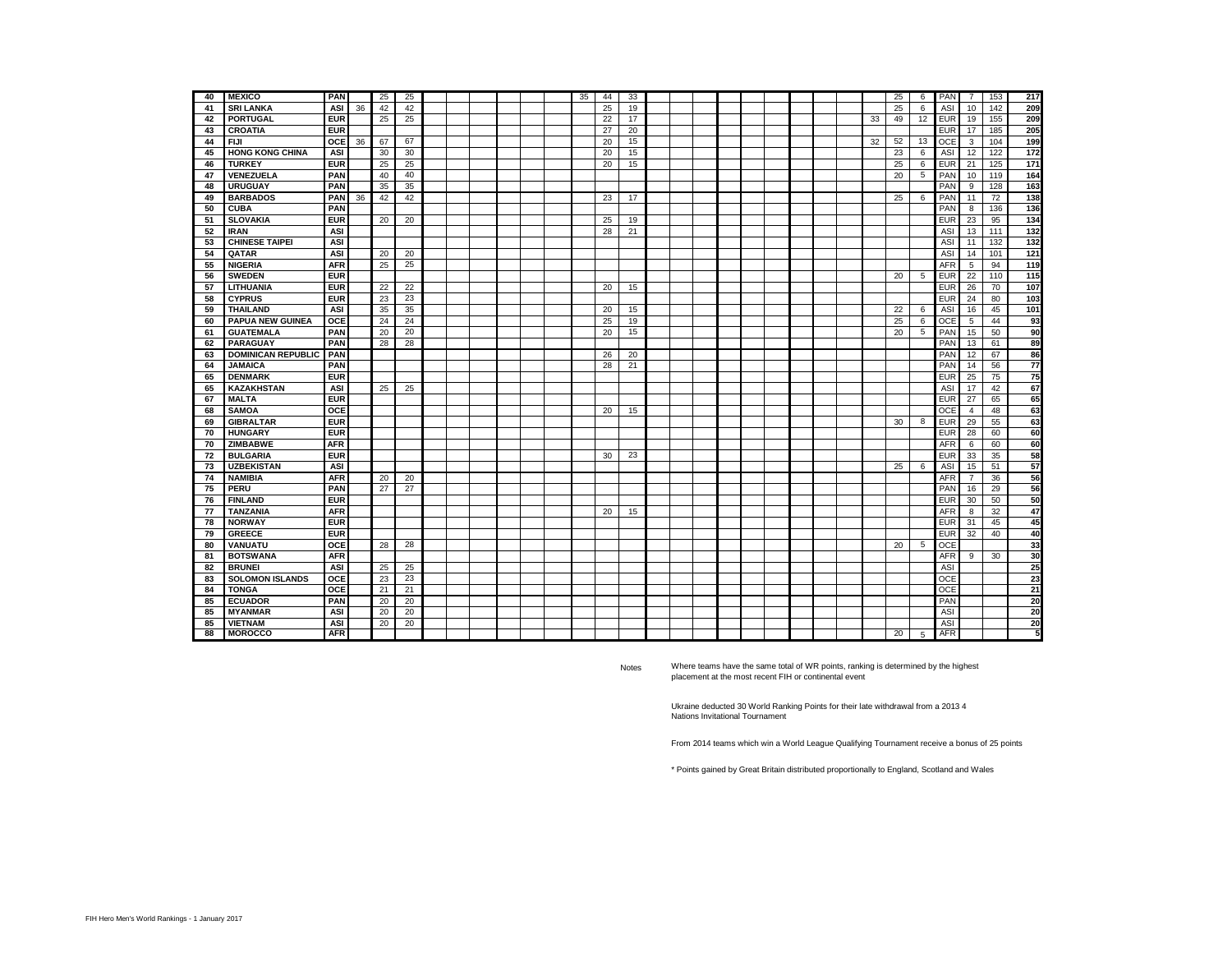| 40 | <b>MEXICO</b>             | <b>PAN</b> |    | 25 | 25 |  |  |  | 35 | 44 | 33 |  |  |  |  |    | 25 | 6  | PAN        | $\overline{7}$          | 153 | 217             |
|----|---------------------------|------------|----|----|----|--|--|--|----|----|----|--|--|--|--|----|----|----|------------|-------------------------|-----|-----------------|
| 41 | <b>SRI LANKA</b>          | ASI        | 36 | 42 | 42 |  |  |  |    | 25 | 19 |  |  |  |  |    | 25 | 6  | ASI        | 10                      | 142 | 209             |
| 42 | <b>PORTUGAL</b>           | <b>EUR</b> |    | 25 | 25 |  |  |  |    | 22 | 17 |  |  |  |  | 33 | 49 | 12 | <b>EUR</b> | 19                      | 155 | 209             |
| 43 | <b>CROATIA</b>            | <b>EUR</b> |    |    |    |  |  |  |    | 27 | 20 |  |  |  |  |    |    |    | <b>EUR</b> | 17                      | 185 | 205             |
| 44 | <b>FIJI</b>               | <b>OCE</b> | 36 | 67 | 67 |  |  |  |    | 20 | 15 |  |  |  |  | 32 | 52 | 13 | OCE        | $\overline{\mathbf{3}}$ | 104 | 199             |
| 45 | <b>HONG KONG CHINA</b>    | ASI        |    | 30 | 30 |  |  |  |    | 20 | 15 |  |  |  |  |    | 23 | 6  | ASI        | 12                      | 122 | 172             |
| 46 | <b>TURKEY</b>             | <b>EUR</b> |    | 25 | 25 |  |  |  |    | 20 | 15 |  |  |  |  |    | 25 | 6  | <b>EUR</b> | 21                      | 125 | $171$           |
| 47 | VENEZUELA                 | PAN        |    | 40 | 40 |  |  |  |    |    |    |  |  |  |  |    | 20 | 5  | PAN        | 10                      | 119 | 164             |
| 48 | <b>URUGUAY</b>            | PAN        |    | 35 | 35 |  |  |  |    |    |    |  |  |  |  |    |    |    | PAN        | 9                       | 128 | 163             |
| 49 | <b>BARBADOS</b>           | PAN        | 36 | 42 | 42 |  |  |  |    | 23 | 17 |  |  |  |  |    | 25 | 6  | PAN        | 11                      | 72  | 138             |
| 50 | <b>CUBA</b>               | PAN        |    |    |    |  |  |  |    |    |    |  |  |  |  |    |    |    | PAN        | 8                       | 136 | 136             |
| 51 | <b>SLOVAKIA</b>           | <b>EUR</b> |    | 20 | 20 |  |  |  |    | 25 | 19 |  |  |  |  |    |    |    | EUR        | 23                      | 95  | 134             |
| 52 | <b>IRAN</b>               | ASI        |    |    |    |  |  |  |    | 28 | 21 |  |  |  |  |    |    |    | ASI        | 13                      | 111 | 132             |
| 53 | <b>CHINESE TAIPEI</b>     | ASI        |    |    |    |  |  |  |    |    |    |  |  |  |  |    |    |    | ASI        | 11                      | 132 | 132             |
| 54 | <b>QATAR</b>              | ASI        |    | 20 | 20 |  |  |  |    |    |    |  |  |  |  |    |    |    | ASI        | 14                      | 101 | 121             |
| 55 | <b>NIGERIA</b>            | <b>AFR</b> |    | 25 | 25 |  |  |  |    |    |    |  |  |  |  |    |    |    | AFR        | 5                       | 94  | 119             |
| 56 | <b>SWEDEN</b>             | <b>EUR</b> |    |    |    |  |  |  |    |    |    |  |  |  |  |    | 20 | 5  | <b>EUR</b> | 22                      | 110 | 115             |
| 57 | <b>LITHUANIA</b>          | <b>EUR</b> |    | 22 | 22 |  |  |  |    | 20 | 15 |  |  |  |  |    |    |    | EUR        | 26                      | 70  | 107             |
| 58 | <b>CYPRUS</b>             | <b>EUR</b> |    | 23 | 23 |  |  |  |    |    |    |  |  |  |  |    |    |    | EUR        | 24                      | 80  | 103             |
| 59 | <b>THAILAND</b>           | <b>ASI</b> |    | 35 | 35 |  |  |  |    | 20 | 15 |  |  |  |  |    | 22 | 6  | ASI        | 16                      | 45  | 101             |
| 60 | <b>PAPUA NEW GUINEA</b>   | OCE        |    | 24 | 24 |  |  |  |    | 25 | 19 |  |  |  |  |    | 25 | 6  | OCE        | 5                       | 44  | 93              |
| 61 | <b>GUATEMALA</b>          | PAN        |    | 20 | 20 |  |  |  |    | 20 | 15 |  |  |  |  |    | 20 | 5  | PAN        | 15                      | 50  | 90              |
| 62 | <b>PARAGUAY</b>           | PAN        |    | 28 | 28 |  |  |  |    |    |    |  |  |  |  |    |    |    | PAN        | 13                      | 61  | 89              |
| 63 | <b>DOMINICAN REPUBLIC</b> | PAN        |    |    |    |  |  |  |    | 26 | 20 |  |  |  |  |    |    |    | PAN        | 12                      | 67  | 86              |
| 64 | <b>JAMAICA</b>            | PAN        |    |    |    |  |  |  |    | 28 | 21 |  |  |  |  |    |    |    | PAN        | 14                      | 56  | $\overline{77}$ |
| 65 | <b>DENMARK</b>            | <b>EUR</b> |    |    |    |  |  |  |    |    |    |  |  |  |  |    |    |    | <b>EUR</b> | 25                      | 75  | 75              |
| 65 | <b>KAZAKHSTAN</b>         | ASI        |    | 25 | 25 |  |  |  |    |    |    |  |  |  |  |    |    |    | ASI        | 17                      | 42  | 67              |
| 67 | <b>MALTA</b>              | <b>EUR</b> |    |    |    |  |  |  |    |    |    |  |  |  |  |    |    |    | <b>EUR</b> | 27                      | 65  | 65              |
| 68 | <b>SAMOA</b>              | OCE        |    |    |    |  |  |  |    | 20 | 15 |  |  |  |  |    |    |    | OCE        | $\overline{4}$          | 48  | 63              |
| 69 | <b>GIBRALTAR</b>          | <b>EUR</b> |    |    |    |  |  |  |    |    |    |  |  |  |  |    | 30 | 8  | <b>EUR</b> | 29                      | 55  | 63              |
| 70 | <b>HUNGARY</b>            | <b>EUR</b> |    |    |    |  |  |  |    |    |    |  |  |  |  |    |    |    | EUR        | 28                      | 60  | 60              |
| 70 | <b>ZIMBABWE</b>           | <b>AFR</b> |    |    |    |  |  |  |    |    |    |  |  |  |  |    |    |    | <b>AFR</b> | 6                       | 60  | 60              |
| 72 | <b>BULGARIA</b>           | <b>EUR</b> |    |    |    |  |  |  |    | 30 | 23 |  |  |  |  |    |    |    | <b>EUR</b> | 33                      | 35  | 58              |
| 73 | <b>UZBEKISTAN</b>         | ASI        |    |    |    |  |  |  |    |    |    |  |  |  |  |    | 25 | 6  | ASI        | 15                      | 51  | 57              |
| 74 | <b>NAMIBIA</b>            | <b>AFR</b> |    | 20 | 20 |  |  |  |    |    |    |  |  |  |  |    |    |    | <b>AFR</b> | $\overline{7}$          | 36  | 56              |
| 75 | PERU                      | PAN        |    | 27 | 27 |  |  |  |    |    |    |  |  |  |  |    |    |    | PAN        | 16                      | 29  | 56              |
| 76 | <b>FINLAND</b>            | <b>EUR</b> |    |    |    |  |  |  |    |    |    |  |  |  |  |    |    |    | <b>EUR</b> | 30                      | 50  | 50              |
| 77 | <b>TANZANIA</b>           | <b>AFR</b> |    |    |    |  |  |  |    | 20 | 15 |  |  |  |  |    |    |    | <b>AFR</b> | 8                       | 32  | 47              |
| 78 | <b>NORWAY</b>             | <b>EUR</b> |    |    |    |  |  |  |    |    |    |  |  |  |  |    |    |    | EUR        | 31                      | 45  | 45              |
| 79 | <b>GREECE</b>             | <b>EUR</b> |    |    |    |  |  |  |    |    |    |  |  |  |  |    |    |    | <b>EUR</b> | 32                      | 40  | 40              |
| 80 | VANUATU                   | OCE        |    | 28 | 28 |  |  |  |    |    |    |  |  |  |  |    | 20 | 5  | OCE        |                         |     | 33              |
| 81 | <b>BOTSWANA</b>           | <b>AFR</b> |    |    |    |  |  |  |    |    |    |  |  |  |  |    |    |    | <b>AFR</b> | 9                       | 30  | 30              |
| 82 | <b>BRUNEI</b>             | ASI        |    | 25 | 25 |  |  |  |    |    |    |  |  |  |  |    |    |    | ASI        |                         |     | 25              |
| 83 | <b>SOLOMON ISLANDS</b>    | OCE        |    | 23 | 23 |  |  |  |    |    |    |  |  |  |  |    |    |    | OCE        |                         |     | 23              |
| 84 | <b>TONGA</b>              | OCE        |    | 21 | 21 |  |  |  |    |    |    |  |  |  |  |    |    |    | OCE        |                         |     | 21              |
| 85 | <b>ECUADOR</b>            | PAN        |    | 20 | 20 |  |  |  |    |    |    |  |  |  |  |    |    |    | PAN        |                         |     | 20              |
| 85 | <b>MYANMAR</b>            | ASI        |    | 20 | 20 |  |  |  |    |    |    |  |  |  |  |    |    |    | ASI        |                         |     | 20              |
| 85 | <b>VIETNAM</b>            | ASI        |    | 20 | 20 |  |  |  |    |    |    |  |  |  |  |    |    |    | ASI        |                         |     | 20              |
| 88 | <b>MOROCCO</b>            | <b>AFR</b> |    |    |    |  |  |  |    |    |    |  |  |  |  |    | 20 | 5  | <b>AFR</b> |                         |     | 5               |

Notes

Where teams have the same total of WR points, ranking is determined by the highest placement at the most recent FIH or continental event

Ukraine deducted 30 World Ranking Points for their late withdrawal from a 2013 4 Nations Invitational Tournament

From 2014 teams which win a World League Qualifying Tournament receive a bonus of 25 points

\* Points gained by Great Britain distributed proportionally to England, Scotland and Wales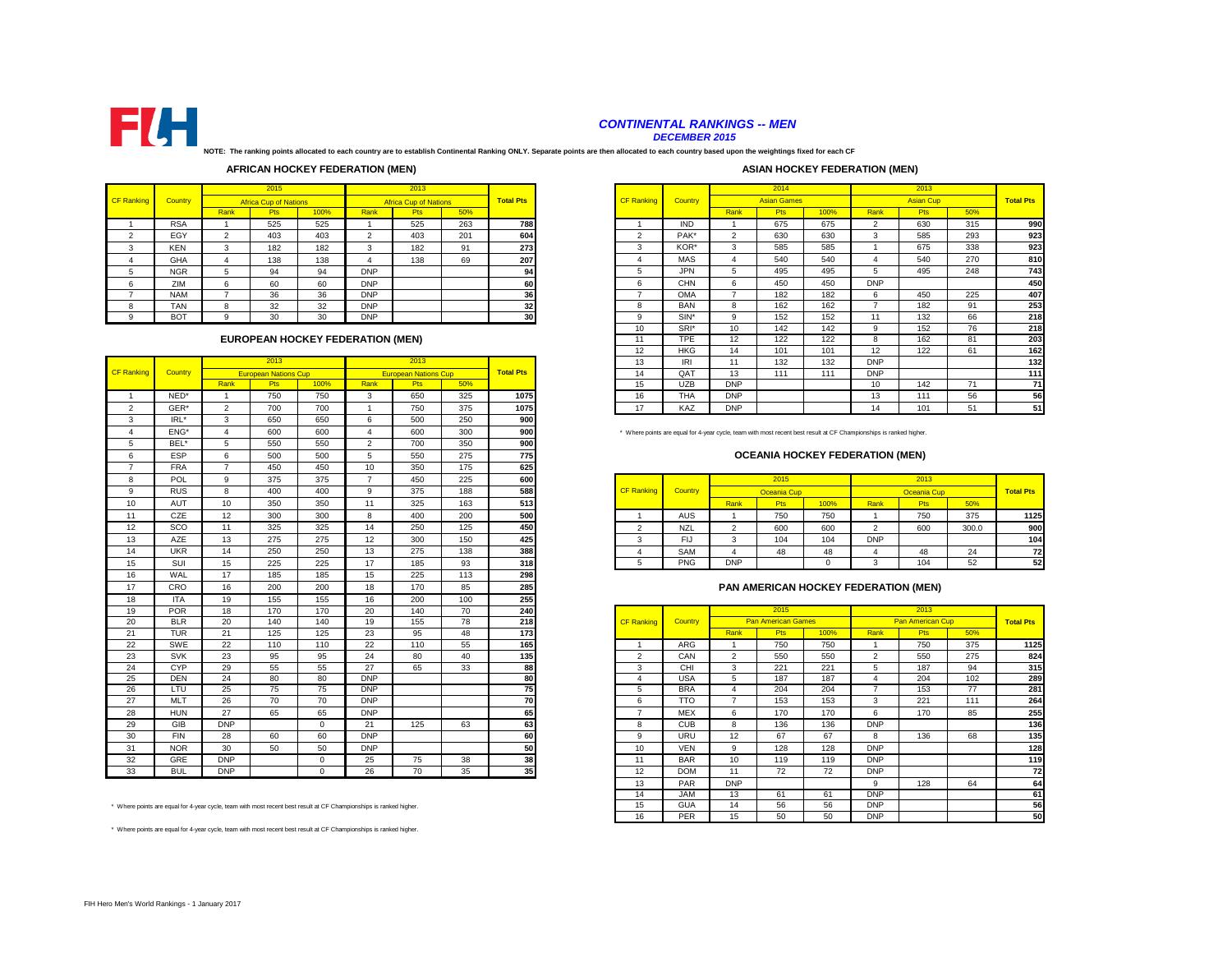

# *CONTINENTAL RANKINGS -- MEN*

*DECEMBER 2015*

**NOTE: The ranking points allocated to each country are to establish Continental Ranking ONLY. Separate points are then allocated to each country based upon the weightings fixed for each CF** 

# **AFRICAN HOCKEY FEDERATION (MEN)**

#### **ASIAN HOCKEY FEDERATION (MEN)**

|                   |            |        | 2015                         |      |            | 2013                         |     |                  |                   |            |               |
|-------------------|------------|--------|------------------------------|------|------------|------------------------------|-----|------------------|-------------------|------------|---------------|
| <b>CF Ranking</b> | Country    |        | <b>Africa Cup of Nations</b> |      |            | <b>Africa Cup of Nations</b> |     | <b>Total Pts</b> | <b>CF Ranking</b> | Country    |               |
|                   |            | Rank   | Pts                          | 100% | Rank       | Pts                          | 50% |                  |                   |            | Rank          |
|                   | <b>RSA</b> |        | 525                          | 525  |            | 525                          | 263 | 788              |                   | IND        |               |
|                   | EGY        | $\sim$ | 403                          | 403  | $\sim$     | 403                          | 201 | 604              | $\sim$            | PAK*       | $\mathcal{L}$ |
| $\sim$<br>-5      | <b>KEN</b> | 3      | 182                          | 182  | 3          | 182                          | 91  | 273              | 3                 | KOR*       | 3             |
|                   | <b>GHA</b> | 4      | 138                          | 138  | 4          | 138                          | 69  | 207              | 4                 | <b>MAS</b> | 4             |
| 5                 | <b>NGR</b> | 5      | 94                           | 94   | <b>DNP</b> |                              |     | 94               | 5                 | <b>JPN</b> | 5             |
| 6                 | ZIM        | 6      | 60                           | 60   | <b>DNP</b> |                              |     | 60               | 6                 | <b>CHN</b> | 6             |
|                   | <b>NAM</b> |        | 36                           | 36   | <b>DNP</b> |                              |     | 36               |                   | OMA        |               |
| 8                 | TAN        | 8      | 32                           | 32   | <b>DNP</b> |                              |     | 32               | 8                 | <b>BAN</b> | 8             |
| q                 | <b>BOT</b> | 9      | 30                           | 30   | <b>DNP</b> |                              |     | 30               | 9                 | SIN*       | 9             |
|                   |            |        |                              |      |            |                              |     |                  |                   |            |               |

# **EUROPEAN HOCKEY FEDERATION (MEN)**

|                   |            |                | 2013                        |             |                        | 2013                        |     |                  |
|-------------------|------------|----------------|-----------------------------|-------------|------------------------|-----------------------------|-----|------------------|
| <b>CF Ranking</b> | Country    |                | <b>European Nations Cup</b> |             |                        | <b>European Nations Cup</b> |     | <b>Total Pts</b> |
|                   |            | Rank           | Pts                         | 100%        | Rank                   | <b>Pts</b>                  | 50% |                  |
| $\overline{1}$    | NED*       | $\overline{1}$ | 750                         | 750         | 3                      | 650                         | 325 | 1075             |
| $\overline{2}$    | GER*       | $\overline{2}$ | 700                         | 700         | $\overline{1}$         | 750                         | 375 | 1075             |
| 3                 | IRL*       | 3              | 650                         | 650         | 6                      | 500                         | 250 | 900              |
| $\overline{4}$    | ENG*       | $\overline{4}$ | 600                         | 600         | $\boldsymbol{\Lambda}$ | 600                         | 300 | 900              |
| 5                 | BEL*       | 5              | 550                         | 550         | $\overline{2}$         | 700                         | 350 | 900              |
| 6                 | ESP        | 6              | 500                         | 500         | 5                      | 550                         | 275 | 775              |
| $\overline{7}$    | <b>FRA</b> | $\overline{7}$ | 450                         | 450         | 10                     | 350                         | 175 | 625              |
| 8                 | POL        | 9              | 375                         | 375         | $\overline{7}$         | 450                         | 225 | 600              |
| 9                 | <b>RUS</b> | 8              | 400                         | 400         | 9                      | 375                         | 188 | 588              |
| 10                | <b>AUT</b> | 10             | 350                         | 350         | 11                     | 325                         | 163 | 513              |
| 11                | CZE        | 12             | 300                         | 300         | 8                      | 400                         | 200 | 500              |
| 12                | SCO        | 11             | 325                         | 325         | 14                     | 250                         | 125 | 450              |
| 13                | <b>AZE</b> | 13             | 275                         | 275         | 12                     | 300                         | 150 | 425              |
| 14                | <b>UKR</b> | 14             | 250                         | 250         | 13                     | 275                         | 138 | 388              |
| 15                | SUI        | 15             | 225                         | 225         | 17                     | 185                         | 93  | 318              |
| 16                | WAL        | 17             | 185                         | 185         | 15                     | 225                         | 113 | 298              |
| 17                | CRO        | 16             | 200                         | 200         | 18                     | 170                         | 85  | 285              |
| 18                | <b>ITA</b> | 19             | 155                         | 155         | 16                     | 200                         | 100 | 255              |
| 19                | <b>POR</b> | 18             | 170                         | 170         | 20                     | 140                         | 70  | 240              |
| 20                | <b>BLR</b> | 20             | 140                         | 140         | 19                     | 155                         | 78  | 218              |
| 21                | <b>TUR</b> | 21             | 125                         | 125         | 23                     | 95                          | 48  | 173              |
| 22                | SWE        | 22             | 110                         | 110         | 22                     | 110                         | 55  | 165              |
| 23                | <b>SVK</b> | 23             | 95                          | 95          | 24                     | 80                          | 40  | 135              |
| 24                | CYP        | 29             | 55                          | 55          | 27                     | 65                          | 33  | 88               |
| 25                | <b>DEN</b> | 24             | 80                          | 80          | <b>DNP</b>             |                             |     | 80               |
| 26                | LTU        | 25             | 75                          | 75          | <b>DNP</b>             |                             |     | 75               |
| 27                | <b>MLT</b> | 26             | 70                          | 70          | <b>DNP</b>             |                             |     | 70               |
| 28                | <b>HUN</b> | 27             | 65                          | 65          | <b>DNP</b>             |                             |     | 65               |
| 29                | GIB        | <b>DNP</b>     |                             | $\mathbf 0$ | 21                     | 125                         | 63  | 63               |
| 30                | <b>FIN</b> | 28             | 60                          | 60          | <b>DNP</b>             |                             |     | 60               |
| 31                | <b>NOR</b> | 30             | 50                          | 50          | <b>DNP</b>             |                             |     | 50               |
| 32                | GRE        | <b>DNP</b>     |                             | $\Omega$    | 25                     | 75                          | 38  | 38               |
| 33                | <b>BUL</b> | <b>DNP</b>     |                             | $\Omega$    | 26                     | 70                          | 35  | 35               |

\* Where points are equal for 4-year cycle, team with most recent best result at CF Championships is ranked higher.

\* Where points are equal for 4-year cycle, team with most recent best result at CF Championships is ranked higher.

|        |            |        | 2015                         |                                  |               | 2013                         |     |                  |                   |            |            | 2014               |      |                          | 2013             |     |                  |
|--------|------------|--------|------------------------------|----------------------------------|---------------|------------------------------|-----|------------------|-------------------|------------|------------|--------------------|------|--------------------------|------------------|-----|------------------|
| ankind | Country    |        | <b>Africa Cup of Nations</b> |                                  |               | <b>Africa Cup of Nations</b> |     | <b>Total Pts</b> | <b>CF Ranking</b> | Country    |            | <b>Asian Games</b> |      |                          | <b>Asian Cup</b> |     | <b>Total Pts</b> |
|        |            | Rank   | <b>Pts</b>                   | 100%                             | Rank          | Pts                          | 50% |                  |                   |            | Rank       | Pts                | 100% | Rank                     | Pts              | 50% |                  |
|        | <b>RSA</b> |        | 525                          | 525                              |               | 525                          | 263 | 788              |                   | <b>IND</b> |            | 675                | 675  | $\overline{\phantom{a}}$ | 630              | 315 | 990              |
|        | EGY        | $\sim$ | 403                          | 403                              | $\mathcal{P}$ | 403                          | 201 | 604              |                   | PAK*       | $\sim$     | 630                | 630  | 3                        | 585              | 293 | 923              |
|        | <b>KEN</b> |        | 182                          | 182                              | 3             | 182                          | 91  | 273              | 3                 | KOR*       |            | 585                | 585  |                          | 675              | 338 | 923              |
|        | <b>GHA</b> |        | 138                          | 138                              |               | 138                          | 69  | 207              |                   | <b>MAS</b> |            | 540                | 540  |                          | 540              | 270 | 810              |
|        | <b>NGR</b> | 5      | 94                           | 94                               | <b>DNP</b>    |                              |     | 94               | ь                 | <b>JPN</b> | 5          | 495                | 495  |                          | 495              | 248 | 743              |
|        | ZIM        | 6.     | 60                           | 60                               | <b>DNP</b>    |                              |     | 60               | 6                 | <b>CHN</b> | 6          | 450                | 450  | <b>DNP</b>               |                  |     | 450              |
|        | <b>NAM</b> |        | 36                           | 36                               | <b>DNP</b>    |                              |     | 36               |                   | <b>OMA</b> |            | 182                | 182  | 6                        | 450              | 225 | 407              |
|        | <b>TAN</b> | R      | 32                           | 32                               | <b>DNP</b>    |                              |     | 32               | 8                 | <b>BAN</b> | 8          | 162                | 162  | -                        | 182              | 91  | 253              |
|        | <b>BOT</b> | 9      | 30                           | 30                               | <b>DNP</b>    |                              |     | 30               | 9                 | $SIN^*$    | q          | 152                | 152  | 11                       | 132              | 66  | 218              |
|        |            |        |                              |                                  |               |                              |     |                  | 10                | SRI*       | 10         | 142                | 142  | 9                        | 152              | 76  | 218              |
|        |            |        |                              | EUROPEAN HOCKEY FEDERATION (MEN) |               |                              |     |                  | 11                | <b>TPE</b> | 12         | 122                | 122  | 8                        | 162              | 81  | 203              |
|        |            |        |                              |                                  |               |                              |     |                  | 12                | <b>HKG</b> | 14         | 101                | 101  | 12                       | 122              | 61  | 162              |
|        |            |        | 2013                         |                                  |               | 2013                         |     |                  | 13                | IRI        |            | 132                | 132  | <b>DNP</b>               |                  |     | 132              |
| anking | Country    |        | <b>European Nations Cup</b>  |                                  |               | <b>European Nations Cup</b>  |     | <b>Total Pts</b> | 14                | OAT        | 13         | 111                | 111  | <b>DNP</b>               |                  |     | 111              |
|        |            | Rank   | <b>Pts</b>                   | 100%                             | Rank          | Pts                          | 50% |                  | 15                | <b>UZB</b> | <b>DNP</b> |                    |      | 10 <sup>1</sup>          | 142              | 71  | 71               |
|        | NED*       |        | 750                          | 750                              | 3             | 650                          | 325 | 1075             | 16                | <b>THA</b> | <b>DNP</b> |                    |      | 13                       | 111              | 56  | 56               |
|        | GER*       | $\sim$ | 700                          | 700                              |               | 750                          | 375 | 1075             | 17                | KAZ        | <b>DNP</b> |                    |      | 14                       | 101              | 51  | 51               |

# **OCEANIA HOCKEY FEDERATION (MEN)**

| <b>POL</b> |    | 375 | 375 |          | 45 <sub>C</sub> | 225      | 600 |                   |            |            | 2015             |      |            | 2013        |       |                  |
|------------|----|-----|-----|----------|-----------------|----------|-----|-------------------|------------|------------|------------------|------|------------|-------------|-------|------------------|
| <b>RUS</b> |    | 400 | 400 |          | 375             | 188      | 588 | <b>CF Ranking</b> | Country    |            | Oceania Cup      |      |            | Oceania Cup |       | <b>Total Pts</b> |
| AUT        | 10 | 350 | 350 |          | 325             | 163      | 513 |                   |            | Rank       | Pts <sup>1</sup> | 100% | Rank       | <b>Pts</b>  | 50%   |                  |
| CZE        | 12 | 300 | 300 |          | 400             | 200      | 500 |                   | <b>AUS</b> |            | 750              | 750  |            | 750<br>ات ا | 375   | 1125             |
| SCO        |    | 325 | 325 |          | 250             | 125      | 450 |                   | <b>NZL</b> |            | 600              | 600  |            | 600         | 300.0 | 900              |
| AZE        | 13 | 275 | 275 | $\Delta$ | 300             | 150      | 425 |                   | دا⊃        |            | 104              | 104  | <b>DNP</b> |             |       | 104              |
| <b>UKR</b> | 14 | 250 | 250 | $\sim$   | 275             | 138      | 388 |                   | SAM        |            | 48               | AC   |            | 45          | 24    | 72               |
| SUI        | 15 | 225 | 225 |          | 185             | റാ<br>ະວ | 318 |                   | <b>PNG</b> | <b>DNP</b> |                  |      |            | 104         | 52    | 52               |

# **PAN AMERICAN HOCKEY FEDERATION (MEN)**

| $\cdot$ | .          | $\cdot$                                                                                                        | $\sim$ | $\sim$   | $\cdot$    | $-\circ$ | $\sim$ | $\overline{\phantom{a}}$ |                   |            |                         |                           |      |                |                         |     |                  |
|---------|------------|----------------------------------------------------------------------------------------------------------------|--------|----------|------------|----------|--------|--------------------------|-------------------|------------|-------------------------|---------------------------|------|----------------|-------------------------|-----|------------------|
| 19      | <b>POR</b> | 18                                                                                                             | 170    | 170      | 20         | 140      | 70     | 240                      |                   |            |                         | 2015                      |      |                | 2013                    |     |                  |
| 20      | <b>BLR</b> | 20                                                                                                             | 140    | 140      | 19         | 155      | 78     | 218                      | <b>CF Ranking</b> | Country    |                         | <b>Pan American Games</b> |      |                | <b>Pan American Cup</b> |     | <b>Total Pts</b> |
| 21      | <b>TUR</b> | 21                                                                                                             | 125    | 125      | 23         | 95       | 48     | 173                      |                   |            | Rank                    | Pts                       | 100% | Rank           | <b>Pts</b>              | 50% |                  |
| 22      | SWE        | 22                                                                                                             | 110    | 110      | 22         | 110      | 55     | 165                      |                   | ARG        |                         | 750                       | 750  |                | 750                     | 375 | 1125             |
| 23      | <b>SVK</b> | 23                                                                                                             | 95     | 95       | 24         | 80       | 40     | 135                      | $\overline{2}$    | CAN        | $\overline{\mathbf{c}}$ | 550                       | 550  | $\overline{2}$ | 550                     | 275 | 824              |
| 24      | <b>CYP</b> | 29                                                                                                             | 55     | 55       | 27         | 65       | 33     | 88                       | 3                 | CHI        | 3                       | 221                       | 221  | 5              | 187                     | 94  | 315              |
| 25      | <b>DEN</b> | 24                                                                                                             | 80     | 80       | <b>DNP</b> |          |        | 80                       |                   | <b>USA</b> | 5                       | 187                       | 187  |                | 204                     | 102 | 289              |
| 26      | <b>LTU</b> | 25                                                                                                             | 75     | 75       | <b>DNP</b> |          |        | 75                       | $\mathcal{D}$     | <b>BRA</b> | $\mathbf{a}$            | 204                       | 204  |                | 153                     | 77  | 281              |
| 27      | <b>MLT</b> | 26                                                                                                             | 70     | 70       | <b>DNP</b> |          |        | 70                       | 6                 | <b>TTO</b> |                         | 153                       | 153  | 3              | 221                     | 111 | 264              |
| 28      | <b>HUN</b> | 27                                                                                                             | 65     | 65       | <b>DNP</b> |          |        | 65                       |                   | <b>MEX</b> | 6                       | 170                       | 170  | 6              | 170                     | 85  | 255              |
| 29      | GIB        | <b>DNP</b>                                                                                                     |        | $\Omega$ | 21         | 125      | 63     | 63                       | 8                 | <b>CUB</b> | 8                       | 136                       | 136  | <b>DNP</b>     |                         |     | 136              |
| 30      | <b>FIN</b> | 28                                                                                                             | 60     | 60       | <b>DNP</b> |          |        | 60                       | 9                 | <b>URU</b> | 12                      | 67                        | 67   | 8              | 136                     | 68  | 135              |
| 31      | <b>NOR</b> | 30                                                                                                             | 50     | 50       | <b>DNP</b> |          |        | 50                       | 10                | <b>VEN</b> | 9                       | 128                       | 128  | <b>DNP</b>     |                         |     | 128              |
| 32      | GRE        | <b>DNP</b>                                                                                                     |        | $\Omega$ | 25         | 75       | 38     | 38                       | 11                | <b>BAR</b> | 10                      | 119                       | 119  | <b>DNP</b>     |                         |     | 119              |
| 33      | <b>BUL</b> | <b>DNP</b>                                                                                                     |        | $\Omega$ | 26         | 70       | 35     | 35                       | 12                | <b>DOM</b> | 11                      | 72                        | 72   | <b>DNP</b>     |                         |     | 72               |
|         |            |                                                                                                                |        |          |            |          |        |                          | 13                | PAR        | <b>DNP</b>              |                           |      | 9              | 128                     | 64  | 64               |
|         |            |                                                                                                                |        |          |            |          |        |                          | 14                | <b>JAM</b> | 13                      | 61                        | 61   | <b>DNP</b>     |                         |     | 61               |
|         |            | ere points are equal for 4-year cycle, team with most recent best result at CF Championships is ranked higher. |        |          |            |          |        |                          | 15                | <b>GUA</b> | 14                      | 56                        | 56   | <b>DNP</b>     |                         |     | 56               |
|         |            |                                                                                                                |        |          |            |          |        |                          | 16                | PER        | 15                      | 50                        | 50   | <b>DNP</b>     |                         |     | 50               |